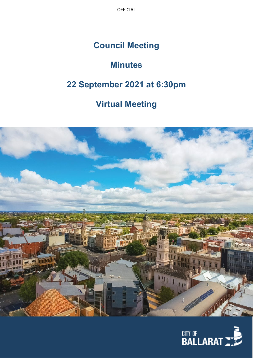OFFICIAL

# **Council Meeting**

# **Minutes**

# **22 September 2021 at 6:30pm**

# **Virtual Meeting**



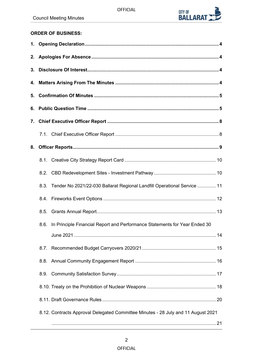

## **ORDER OF BUSINESS:**

| 8. |                                                                                    |  |
|----|------------------------------------------------------------------------------------|--|
|    |                                                                                    |  |
|    |                                                                                    |  |
|    | Tender No 2021/22-030 Ballarat Regional Landfill Operational Service  11<br>8.3.   |  |
|    |                                                                                    |  |
|    |                                                                                    |  |
|    | In Principle Financial Report and Performance Statements for Year Ended 30<br>8.6. |  |
|    |                                                                                    |  |
|    |                                                                                    |  |
|    |                                                                                    |  |
|    |                                                                                    |  |
|    |                                                                                    |  |
|    |                                                                                    |  |
|    | 8.12. Contracts Approval Delegated Committee Minutes - 28 July and 11 August 2021  |  |
|    |                                                                                    |  |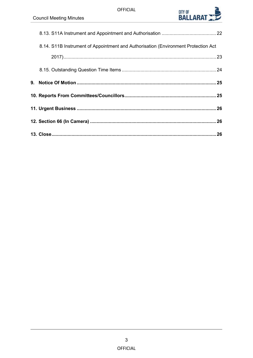

| 8.14. S11B Instrument of Appointment and Authorisation (Environment Protection Act |  |
|------------------------------------------------------------------------------------|--|
|                                                                                    |  |
|                                                                                    |  |
|                                                                                    |  |
|                                                                                    |  |
|                                                                                    |  |
|                                                                                    |  |
|                                                                                    |  |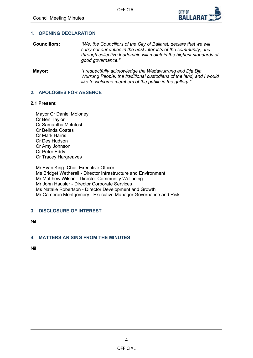

## <span id="page-3-0"></span>**1. OPENING DECLARATION**

| <b>Councillors:</b> | "We, the Councillors of the City of Ballarat, declare that we will<br>carry out our duties in the best interests of the community, and<br>through collective leadership will maintain the highest standards of<br>good governance." |
|---------------------|-------------------------------------------------------------------------------------------------------------------------------------------------------------------------------------------------------------------------------------|
|                     |                                                                                                                                                                                                                                     |

**Mayor:** *"I respectfully acknowledge the Wadawurrung and Dja Dja Wurrung People, the traditional custodians of the land, and I would like to welcome members of the public in the gallery."*

## **2. APOLOGIES FOR ABSENCE**

## **2.1 Present**

Mayor Cr Daniel Moloney Cr Ben Taylor Cr Samantha McIntosh Cr Belinda Coates Cr Mark Harris Cr Des Hudson Cr Amy Johnson Cr Peter Eddy Cr Tracey Hargreaves

Mr Evan King- Chief Executive Officer Ms Bridget Wetherall - Director Infrastructure and Environment Mr Matthew Wilson - Director Community Wellbeing Mr John Hausler - Director Corporate Services Ms Natalie Robertson - Director Development and Growth Mr Cameron Montgomery - Executive Manager Governance and Risk

## **3. DISCLOSURE OF INTEREST**

Nil

## **4. MATTERS ARISING FROM THE MINUTES**

Nil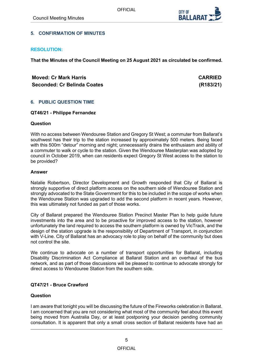

## <span id="page-4-0"></span>**5. CONFIRMATION OF MINUTES**

## **RESOLUTION:**

**That the Minutes of the Council Meeting on 25 August 2021 as circulated be confirmed.**

**Moved: Cr Mark Harris CARRIED Seconded: Cr Belinda Coates (R183/21)**

## **6. PUBLIC QUESTION TIME**

## **QT46/21 - Philippe Fernandez**

## **Question**

With no access between Wendouree Station and Gregory St West; a commuter from Ballarat's southwest has their trip to the station increased by approximately 500 meters. Being faced with this 500m "detour" morning and night; unnecessarily drains the enthusiasm and ability of a commuter to walk or cycle to the station. Given the Wendouree Masterplan was adopted by council in October 2019, when can residents expect Gregory St West access to the station to be provided?

## **Answer**

Natalie Robertson, Director Development and Growth responded that City of Ballarat is strongly supportive of direct platform access on the southern side of Wendouree Station and strongly advocated to the State Government for this to be included in the scope of works when the Wendouree Station was upgraded to add the second platform in recent years. However, this was ultimately not funded as part of those works.

City of Ballarat prepared the Wendouree Station Precinct Master Plan to help guide future investments into the area and to be proactive for improved access to the station, however unfortunately the land required to access the southern platform is owned by VicTrack, and the design of the station upgrade is the responsibility of Department of Transport, in conjunction with V-Line. City of Ballarat has an advocacy role to play on behalf of the community but does not control the site.

We continue to advocate on a number of transport opportunities for Ballarat, including Disability Discrimination Act Compliance at Ballarat Station and an overhaul of the bus network, and as part of those discussions will be pleased to continue to advocate strongly for direct access to Wendouree Station from the southern side.

## **QT47/21 - Bruce Crawford**

## **Question**

I am aware that tonight you will be discussing the future of the Fireworks celebration in Ballarat. I am concerned that you are not considering what most of the community feel about this event being moved from Australia Day, or at least postponing your decision pending community consultation. It is apparent that only a small cross section of Ballarat residents have had an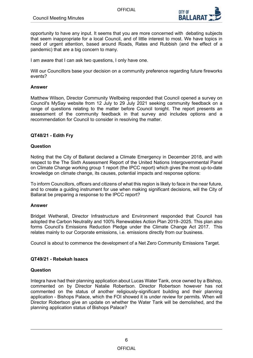

opportunity to have any input. It seems that you are more concerned with debating subjects that seem inappropriate for a local Council, and of little interest to most. We have topics in need of urgent attention, based around Roads, Rates and Rubbish (and the effect of a pandemic) that are a big concern to many.

I am aware that I can ask two questions, I only have one.

Will our Councillors base your decision on a community preference regarding future fireworks events?

#### **Answer**

Matthew Wilson, Director Community Wellbeing responded that Council opened a survey on Council's MySay website from 12 July to 29 July 2021 seeking community feedback on a range of questions relating to the matter before Council tonight. The report presents an assessment of the community feedback in that survey and includes options and a recommendation for Council to consider in resolving the matter.

## **QT48/21 - Edith Fry**

## **Question**

Noting that the City of Ballarat declared a Climate Emergency in December 2018, and with respect to the The Sixth Assessment Report of the United Nations Intergovernmental Panel on Climate Change working group 1 report (the IPCC report) which gives the most up-to-date knowledge on climate change, its causes, potential impacts and response options:

To inform Councillors, officers and citizens of what this region is likely to face in the near future, and to create a guiding instrument for use when making significant decisions, will the City of Ballarat be preparing a response to the IPCC report?

#### **Answer**

Bridget Wetherall, Director Infrastructure and Environment responded that Council has adopted the Carbon Neutrality and 100% Renewables Action Plan 2019–2025. This plan also forms Council's Emissions Reduction Pledge under the Climate Change Act 2017. This relates mainly to our Corporate emissions, i.e. emissions directly from our business.

Council is about to commence the development of a Net Zero Community Emissions Target.

## **QT49/21 - Rebekah Isaacs**

## **Question**

Integra have had their planning application about Lucas Water Tank, once owned by a Bishop, commented on by Director Natalie Robertson. Director Robertson however has not commented on the status of another religiously-significant building and their planning application - Bishops Palace, which the FOI showed it is under review for permits. When will Director Robertson give an update on whether the Water Tank will be demolished, and the planning application status of Bishops Palace?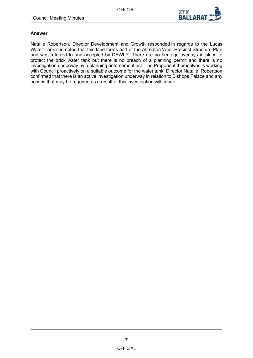

## **Answer**

Natalie Robertson, Director Development and Growth responded in regards to the Lucas Water Tank it is noted that this land forms part of the Alfredton West Precinct Structure Plan and was referred to and accepted by DEWLP. There are no heritage overlays in place to protect the brick water tank but there is no breach of a planning permit and there is no investigation underway by a planning enforcement act. The Proponent themselves is working with Council proactively on a suitable outcome for the water tank. Director Natalie Robertson confirmed that there is an active investigation underway in relation to Bishops Palace and any actions that may be required as a result of this investigation will ensue.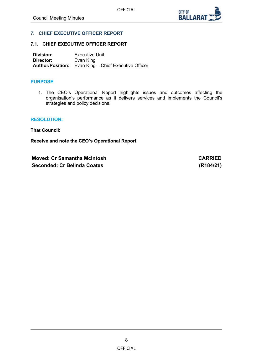

## <span id="page-7-0"></span>**7. CHIEF EXECUTIVE OFFICER REPORT**

## **7.1. CHIEF EXECUTIVE OFFICER REPORT**

**Division:** Executive Unit<br> **Director:** Evan King **Evan King Author/Position:** Evan King – Chief Executive Officer

### **PURPOSE**

1. The CEO's Operational Report highlights issues and outcomes affecting the organisation's performance as it delivers services and implements the Council's strategies and policy decisions.

#### **RESOLUTION:**

**That Council:**

**Receive and note the CEO's Operational Report.**

**Moved: Cr Samantha McIntosh CARRIED Seconded: Cr Belinda Coates (R184/21)**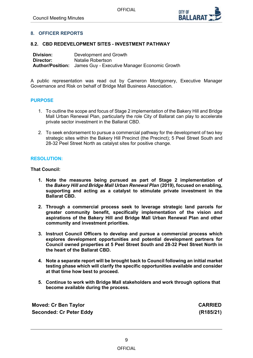

## <span id="page-8-0"></span>**8. OFFICER REPORTS**

## **8.2. CBD REDEVELOPMENT SITES - INVESTMENT PATHWAY**

| <b>Division:</b> | Development and Growth                                                |
|------------------|-----------------------------------------------------------------------|
| Director:        | Natalie Robertson                                                     |
|                  | <b>Author/Position:</b> James Guy - Executive Manager Economic Growth |

A public representation was read out by Cameron Montgomery, Executive Manager Governance and Risk on behalf of Bridge Mall Business Association.

## **PURPOSE**

- 1. To outline the scope and focus of Stage 2 implementation of the Bakery Hill and Bridge Mall Urban Renewal Plan, particularly the role City of Ballarat can play to accelerate private sector investment in the Ballarat CBD.
- 2. To seek endorsement to pursue a commercial pathway for the development of two key strategic sites within the Bakery Hill Precinct (the Precinct); 5 Peel Street South and 28-32 Peel Street North as catalyst sites for positive change.

## **RESOLUTION:**

**That Council:**

- **1. Note the measures being pursued as part of Stage 2 implementation of the** *Bakery Hill and Bridge Mall Urban Renewal Plan* **(2019), focused on enabling, supporting and acting as a catalyst to stimulate private investment in the Ballarat CBD.**
- **2. Through a commercial process seek to leverage strategic land parcels for greater community benefit, specifically implementation of the vision and aspirations of the Bakery Hill and Bridge Mall Urban Renewal Plan and other community and investment priorities.**
- **3. Instruct Council Officers to develop and pursue a commercial process which explores development opportunities and potential development partners for Council owned properties at 5 Peel Street South and 28-32 Peel Street North in the heart of the Ballarat CBD.**
- **4. Note a separate report will be brought back to Council following an initial market testing phase which will clarify the specific opportunities available and consider at that time how best to proceed.**
- **5. Continue to work with Bridge Mall stakeholders and work through options that become available during the process.**

**Moved: Cr Ben Taylor CARRIED Seconded: Cr Peter Eddy (R185/21)**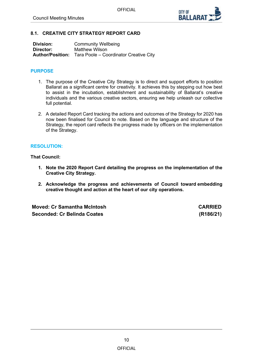

## <span id="page-9-0"></span>**8.1. CREATIVE CITY STRATEGY REPORT CARD**

| Division: | <b>Community Wellbeing</b>                                     |
|-----------|----------------------------------------------------------------|
| Director: | Matthew Wilson                                                 |
|           | <b>Author/Position:</b> Tara Poole – Coordinator Creative City |

## **PURPOSE**

- 1. The purpose of the Creative City Strategy is to direct and support efforts to position Ballarat as a significant centre for creativity. It achieves this by stepping out how best to assist in the incubation, establishment and sustainability of Ballarat's creative individuals and the various creative sectors, ensuring we help unleash our collective full potential.
- 2. A detailed Report Card tracking the actions and outcomes of the Strategy for 2020 has now been finalised for Council to note. Based on the language and structure of the Strategy, the report card reflects the progress made by officers on the implementation of the Strategy.

#### **RESOLUTION:**

**That Council:**

- **1. Note the 2020 Report Card detailing the progress on the implementation of the Creative City Strategy.**
- **2. Acknowledge the progress and achievements of Council toward embedding creative thought and action at the heart of our city operations.**

<span id="page-9-1"></span>**Moved: Cr Samantha McIntosh CARRIED Seconded: Cr Belinda Coates (R186/21)**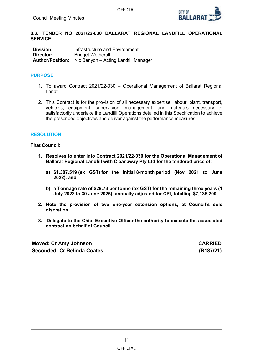## <span id="page-10-0"></span>**8.3. TENDER NO 2021/22-030 BALLARAT REGIONAL LANDFILL OPERATIONAL SERVICE**

**Division:** Infrastructure and Environment<br> **Director:** Rridget Wetherall **Bridget Wetherall Author/Position:** Nic Benyon – Acting Landfill Manager

## **PURPOSE**

- 1. To award Contract 2021/22-030 Operational Management of Ballarat Regional Landfill.
- 2. This Contract is for the provision of all necessary expertise, labour, plant, transport, vehicles, equipment, supervision, management, and materials necessary to satisfactorily undertake the Landfill Operations detailed in this Specification to achieve the prescribed objectives and deliver against the performance measures.

## **RESOLUTION:**

**That Council:**

- **1. Resolves to enter into Contract 2021/22-030 for the Operational Management of Ballarat Regional Landfill with Cleanaway Pty Ltd for the tendered price of:**
	- **a) \$1,387,519 (ex GST) for the initial 8-month period (Nov 2021 to June 2022), and**
	- **b) a Tonnage rate of \$29.73 per tonne (ex GST) for the remaining three years (1 July 2022 to 30 June 2025), annually adjusted for CPI, totalling \$7,135,200.**
- **2. Note the provision of two one-year extension options, at Council's sole discretion.**
- **3. Delegate to the Chief Executive Officer the authority to execute the associated contract on behalf of Council.**

**Moved: Cr Amy Johnson CARRIED Seconded: Cr Belinda Coates (R187/21)**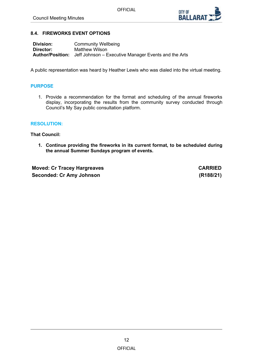

## <span id="page-11-0"></span>**8.4. FIREWORKS EVENT OPTIONS**

| Division: | <b>Community Wellbeing</b>                                                   |
|-----------|------------------------------------------------------------------------------|
| Director: | Matthew Wilson                                                               |
|           | <b>Author/Position:</b> Jeff Johnson – Executive Manager Events and the Arts |

A public representation was heard by Heather Lewis who was dialed into the virtual meeting.

## **PURPOSE**

1. Provide a recommendation for the format and scheduling of the annual fireworks display, incorporating the results from the community survey conducted through Council's My Say public consultation platform.

## **RESOLUTION:**

**That Council:**

**1. Continue providing the fireworks in its current format, to be scheduled during the annual Summer Sundays program of events.**

**Moved: Cr Tracey Hargreaves CARRIED Seconded: Cr Amy Johnson (R188/21)**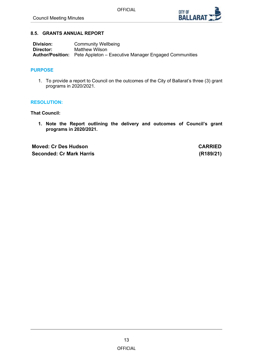

## <span id="page-12-0"></span>**8.5. GRANTS ANNUAL REPORT**

| <b>Division:</b> | <b>Community Wellbeing</b>                                                    |
|------------------|-------------------------------------------------------------------------------|
| Director:        | Matthew Wilson                                                                |
|                  | <b>Author/Position:</b> Pete Appleton – Executive Manager Engaged Communities |

## **PURPOSE**

1. To provide a report to Council on the outcomes of the City of Ballarat's three (3) grant programs in 2020/2021.

## **RESOLUTION:**

**That Council:**

**1. Note the Report outlining the delivery and outcomes of Council's grant programs in 2020/2021.**

**Moved: Cr Des Hudson CARRIED Seconded: Cr Mark Harris (R189/21)**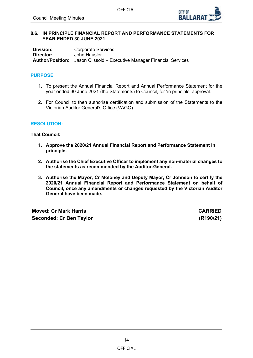

## <span id="page-13-0"></span>**8.6. IN PRINCIPLE FINANCIAL REPORT AND PERFORMANCE STATEMENTS FOR YEAR ENDED 30 JUNE 2021**

**Division:** Corporate Services<br> **Director:** John Hausler **Director:** John Hausler **Author/Position:** Jason Clissold – Executive Manager Financial Services

## **PURPOSE**

- 1. To present the Annual Financial Report and Annual Performance Statement for the year ended 30 June 2021 (the Statements) to Council, for 'in principle' approval.
- 2. For Council to then authorise certification and submission of the Statements to the Victorian Auditor General's Office (VAGO).

## **RESOLUTION:**

**That Council:**

- **1. Approve the 2020/21 Annual Financial Report and Performance Statement in principle.**
- **2. Authorise the Chief Executive Officer to implement any non-material changes to the statements as recommended by the Auditor-General.**
- **3. Authorise the Mayor, Cr Moloney and Deputy Mayor, Cr Johnson to certify the 2020/21 Annual Financial Report and Performance Statement on behalf of Council, once any amendments or changes requested by the Victorian Auditor General have been made.**

**Moved: Cr Mark Harris CARRIED Seconded: Cr Ben Taylor (R190/21)**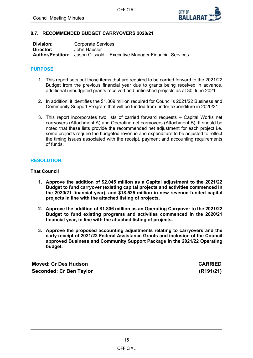

## <span id="page-14-0"></span>**8.7. RECOMMENDED BUDGET CARRYOVERS 2020/21**

| Division: | <b>Corporate Services</b>                                                     |
|-----------|-------------------------------------------------------------------------------|
| Director: | John Hausler                                                                  |
|           | <b>Author/Position:</b> Jason Clissold – Executive Manager Financial Services |

## **PURPOSE**

- 1. This report sets out those items that are required to be carried forward to the 2021/22 Budget from the previous financial year due to grants being received in advance, additional unbudgeted grants received and unfinished projects as at 30 June 2021.
- 2. In addition, it identifies the \$1.309 million required for Council's 2021/22 Business and Community Support Program that will be funded from under expenditure in 2020/21.
- 3. This report incorporates two lists of carried forward requests Capital Works net carryovers (Attachment A) and Operating net carryovers (Attachment B). It should be noted that these lists provide the recommended net adjustment for each project i.e. some projects require the budgeted revenue and expenditure to be adjusted to reflect the timing issues associated with the receipt, payment and accounting requirements of funds.

## **RESOLUTION:**

## **That Council**

- **1. Approve the addition of \$2.045 million as a Capital adjustment to the 2021/22 Budget to fund carryover (existing capital projects and activities commenced in the 2020/21 financial year), and \$18.525 million in new revenue funded capital projects in line with the attached listing of projects.**
- **2. Approve the addition of \$1.806 million as an Operating Carryover to the 2021/22 Budget to fund existing programs and activities commenced in the 2020/21 financial year, in line with the attached listing of projects.**
- **3. Approve the proposed accounting adjustments relating to carryovers and the early receipt of 2021/22 Federal Assistance Grants and inclusion of the Council approved Business and Community Support Package in the 2021/22 Operating budget.**

**Moved: Cr Des Hudson CARRIED Seconded: Cr Ben Taylor (R191/21)**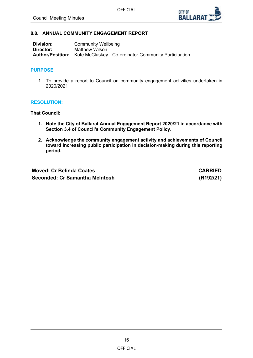

## <span id="page-15-0"></span>**8.8. ANNUAL COMMUNITY ENGAGEMENT REPORT**

| Division: | <b>Community Wellbeing</b>                                                    |
|-----------|-------------------------------------------------------------------------------|
| Director: | Matthew Wilson                                                                |
|           | <b>Author/Position:</b> Kate McCluskey - Co-ordinator Community Participation |

## **PURPOSE**

1. To provide a report to Council on community engagement activities undertaken in 2020/2021

## **RESOLUTION:**

**That Council:**

- **1. Note the City of Ballarat Annual Engagement Report 2020/21 in accordance with Section 3.4 of Council's Community Engagement Policy.**
- **2. Acknowledge the community engagement activity and achievements of Council toward increasing public participation in decision-making during this reporting period.**

**Moved: Cr Belinda Coates CARRIED Seconded: Cr Samantha McIntosh (R192/21)**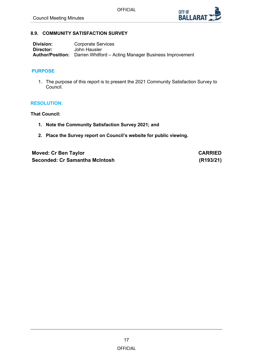

## <span id="page-16-0"></span>**8.9. COMMUNITY SATISFACTION SURVEY**

| Division: | Corporate Services                                                            |
|-----------|-------------------------------------------------------------------------------|
| Director: | John Hausler                                                                  |
|           | <b>Author/Position:</b> Darren Whitford – Acting Manager Business Improvement |

## **PURPOSE**

1. The purpose of this report is to present the 2021 Community Satisfaction Survey to Council.

## **RESOLUTION:**

**That Council:**

- **1. Note the Community Satisfaction Survey 2021; and**
- **2. Place the Survey report on Council's website for public viewing.**

| <b>Moved: Cr Ben Taylor</b>    | <b>CARRIED</b> |
|--------------------------------|----------------|
| Seconded: Cr Samantha McIntosh | (R193/21)      |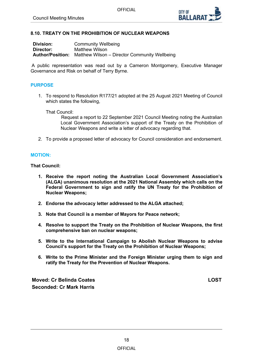

## <span id="page-17-0"></span>**8.10. TREATY ON THE PROHIBITION OF NUCLEAR WEAPONS**

| Division: | <b>Community Wellbeing</b>                                            |
|-----------|-----------------------------------------------------------------------|
| Director: | Matthew Wilson                                                        |
|           | <b>Author/Position:</b> Matthew Wilson – Director Community Wellbeing |

A public representation was read out by a Cameron Montgomery, Executive Manager Governance and Risk on behalf of Terry Byrne.

## **PURPOSE**

1. To respond to Resolution R177/21 adopted at the 25 August 2021 Meeting of Council which states the following,

#### That Council:

Request a report to 22 September 2021 Council Meeting noting the Australian Local Government Association's support of the Treaty on the Prohibition of Nuclear Weapons and write a letter of advocacy regarding that.

2. To provide a proposed letter of advocacy for Council consideration and endorsement.

## **MOTION:**

**That Council:**

- **1. Receive the report noting the Australian Local Government Association's (ALGA) unanimous resolution at the 2021 National Assembly which calls on the Federal Government to sign and ratify the UN Treaty for the Prohibition of Nuclear Weapons;**
- **2. Endorse the advocacy letter addressed to the ALGA attached;**
- **3. Note that Council is a member of Mayors for Peace network;**
- **4. Resolve to support the Treaty on the Prohibition of Nuclear Weapons, the first comprehensive ban on nuclear weapons;**
- **5. Write to the International Campaign to Abolish Nuclear Weapons to advise Council's support for the Treaty on the Prohibition of Nuclear Weapons;**
- **6. Write to the Prime Minister and the Foreign Minister urging them to sign and ratify the Treaty for the Prevention of Nuclear Weapons.**

**Moved: Cr Belinda Coates LOST Seconded: Cr Mark Harris**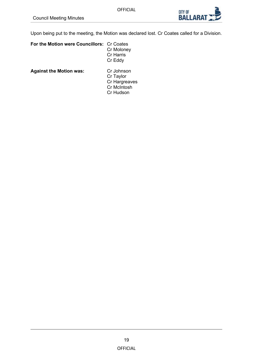

Upon being put to the meeting, the Motion was declared lost. Cr Coates called for a Division.

| For the Motion were Councillors: Cr Coates |
|--------------------------------------------|
| Cr Moloney                                 |
| Cr Harris                                  |
| Cr Eddy                                    |
|                                            |

**Against the Motion was:** Cr Johnson

Cr Taylor Cr Hargreaves Cr McIntosh Cr Hudson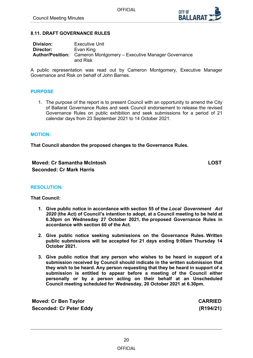

## <span id="page-19-0"></span>**8.11. DRAFT GOVERNANCE RULES**

| Division: | Executive Unit                                                                        |
|-----------|---------------------------------------------------------------------------------------|
| Director: | Evan King                                                                             |
|           | <b>Author/Position:</b> Cameron Montgomery – Executive Manager Governance<br>and Risk |

A public representation was read out by Cameron Montgomery, Executive Manager Governance and Risk on behalf of John Barnes.

#### **PURPOSE**

1. The purpose of the report is to present Council with an opportunity to amend the City of Ballarat Governance Rules and seek Council endorsement to release the revised Governance Rules on public exhibition and seek submissions for a period of 21 calendar days from 23 September 2021 to 14 October 2021.

## **MOTION:**

**That Council abandon the proposed changes to the Governance Rules.**

**Moved: Cr Samantha McIntosh LOST Seconded: Cr Mark Harris**

## **RESOLUTION:**

**That Council:**

- **1. Give public notice in accordance with section 55 of the** *Local Government Act 2020* **(the Act) of Council's intention to adopt, at a Council meeting to be held at 6.30pm on Wednesday 27 October 2021, the proposed Governance Rules in accordance with section 60 of the Act.**
- **2. Give public notice seeking submissions on the Governance Rules. Written public submissions will be accepted for 21 days ending 9:00am Thursday 14 October 2021.**
- **3. Give public notice that any person who wishes to be heard in support of a submission received by Council should indicate in the written submission that they wish to be heard. Any person requesting that they be heard in support of a submission is entitled to appear before a meeting of the Council either personally or by a person acting on their behalf at an Unscheduled Council meeting scheduled for Wednesday, 20 October 2021 at 6.30pm.**

**Moved: Cr Ben Taylor CARRIED Seconded: Cr Peter Eddy (R194/21)**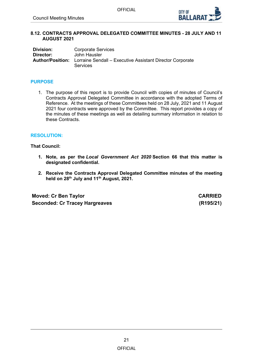

## <span id="page-20-0"></span>**8.12. CONTRACTS APPROVAL DELEGATED COMMITTEE MINUTES - 28 JULY AND 11 AUGUST 2021**

| <b>Division:</b> | <b>Corporate Services</b>                                                         |
|------------------|-----------------------------------------------------------------------------------|
| Director:        | John Hausler                                                                      |
|                  | <b>Author/Position:</b> Lorraine Sendall – Executive Assistant Director Corporate |
|                  | Services                                                                          |

## **PURPOSE**

1. The purpose of this report is to provide Council with copies of minutes of Council's Contracts Approval Delegated Committee in accordance with the adopted Terms of Reference. At the meetings of these Committees held on 28 July, 2021 and 11 August 2021 four contracts were approved by the Committee. This report provides a copy of the minutes of these meetings as well as detailing summary information in relation to these Contracts.

## **RESOLUTION:**

**That Council:**

- **1. Note, as per the** *Local Government Act 2020* **Section 66 that this matter is designated confidential.**
- **2. Receive the Contracts Approval Delegated Committee minutes of the meeting held on 28th July and 11th August, 2021.**

**Moved: Cr Ben Taylor CARRIED Seconded: Cr Tracey Hargreaves (R195/21)**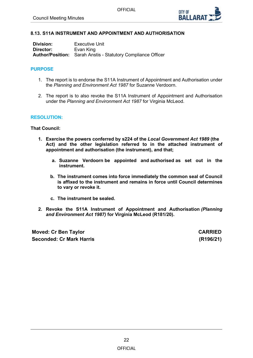

## <span id="page-21-0"></span>**8.13. S11A INSTRUMENT AND APPOINTMENT AND AUTHORISATION**

| Division: | Executive Unit                                                      |
|-----------|---------------------------------------------------------------------|
| Director: | Evan King                                                           |
|           | <b>Author/Position:</b> Sarah Anstis - Statutory Compliance Officer |

#### **PURPOSE**

- 1. The report is to endorse the S11A Instrument of Appointment and Authorisation under the *Planning and Environment Act 1987* for Suzanne Verdoorn.
- 2. The report is to also revoke the S11A Instrument of Appointment and Authorisation under the *Planning and Environment Act 1987* for Virginia McLeod.

## **RESOLUTION:**

**That Council:**

- **1. Exercise the powers conferred by s224 of the** *Local Government Act 1989* **(the Act) and the other legislation referred to in the attached instrument of appointment and authorisation (the instrument), and that;**
	- **a. Suzanne Verdoorn be appointed and authorised as set out in the instrument.**
	- **b. The instrument comes into force immediately the common seal of Council is affixed to the instrument and remains in force until Council determines to vary or revoke it.**
	- **c. The instrument be sealed.**
- **2. Revoke the S11A Instrument of Appointment and Authorisation** *(Planning and Environment Act 1987)* **for Virginia McLeod (R181/20).**

**Moved: Cr Ben Taylor CARRIED Seconded: Cr Mark Harris (R196/21)**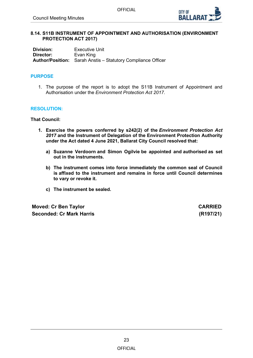

## <span id="page-22-0"></span>**8.14. S11B INSTRUMENT OF APPOINTMENT AND AUTHORISATION (ENVIRONMENT PROTECTION ACT 2017)**

**Division:** Executive Unit<br> **Director:** Evan King **Evan King Author/Position:** Sarah Anstis – Statutory Compliance Officer

## **PURPOSE**

1. The purpose of the report is to adopt the S11B Instrument of Appointment and Authorisation under the *Environment Protection Act 2017*.

## **RESOLUTION:**

**That Council:** 

- **1. Exercise the powers conferred by s242(2) of the** *Environment Protection Act 2017* **and the Instrument of Delegation of the Environment Protection Authority under the Act dated 4 June 2021, Ballarat City Council resolved that:**
	- **a) Suzanne Verdoorn and Simon Ogilvie be appointed and authorised as set out in the instruments.**
	- **b) The instrument comes into force immediately the common seal of Council is affixed to the instrument and remains in force until Council determines to vary or revoke it.**
	- **c) The instrument be sealed.**

**Moved: Cr Ben Taylor CARRIED Seconded: Cr Mark Harris (R197/21)**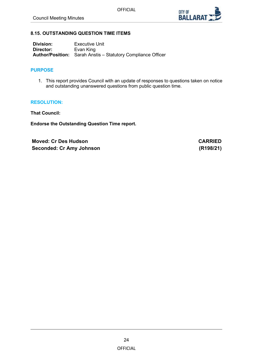

## <span id="page-23-0"></span>**8.15. OUTSTANDING QUESTION TIME ITEMS**

| <b>Division:</b> | <b>Executive Unit</b>                                               |
|------------------|---------------------------------------------------------------------|
| Director:        | Evan King                                                           |
|                  | <b>Author/Position:</b> Sarah Anstis – Statutory Compliance Officer |

## **PURPOSE**

1. This report provides Council with an update of responses to questions taken on notice and outstanding unanswered questions from public question time.

## **RESOLUTION:**

**That Council:**

**Endorse the Outstanding Question Time report.**

**Moved: Cr Des Hudson CARRIED Seconded: Cr Amy Johnson (R198/21)**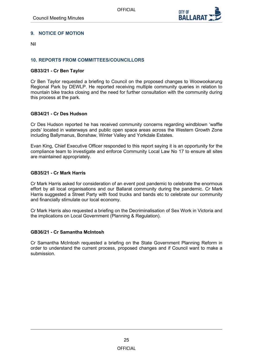

## <span id="page-24-0"></span>**9. NOTICE OF MOTION**

Nil

## **10. REPORTS FROM COMMITTEES/COUNCILLORS**

## **GB33/21 - Cr Ben Taylor**

Cr Ben Taylor requested a briefing to Council on the proposed changes to Woowookarung Regional Park by DEWLP. He reported receiving multiple community queries in relation to mountain bike tracks closing and the need for further consultation with the community during this process at the park.

## **GB34/21 - Cr Des Hudson**

Cr Des Hudson reported he has received community concerns regarding windblown 'waffle pods' located in waterways and public open space areas across the Western Growth Zone including Ballymanus, Bonshaw, Winter Valley and Yorkdale Estates.

Evan King, Chief Executive Officer responded to this report saying it is an opportunity for the compliance team to investigate and enforce Community Local Law No 17 to ensure all sites are maintained appropriately.

## **GB35/21 - Cr Mark Harris**

Cr Mark Harris asked for consideration of an event post pandemic to celebrate the enormous effort by all local organisations and our Ballarat community during the pandemic. Cr Mark Harris suggested a Street Party with food trucks and bands etc to celebrate our community and financially stimulate our local economy.

Cr Mark Harris also requested a briefing on the Decriminalisation of Sex Work in Victoria and the implications on Local Government (Planning & Regulation).

## **GB36/21 - Cr Samantha McIntosh**

Cr Samantha McIntosh requested a briefing on the State Government Planning Reform in order to understand the current process, proposed changes and if Council want to make a submission.